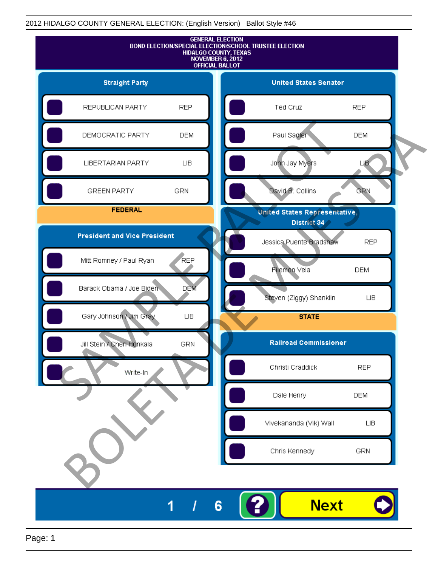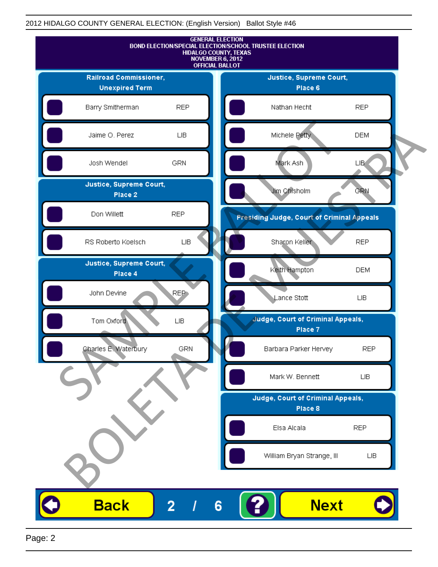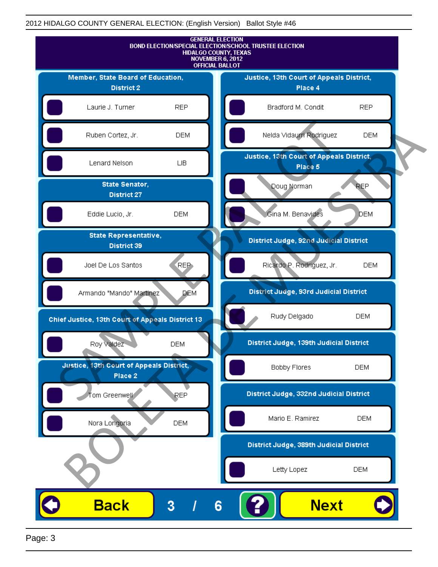

Page: 3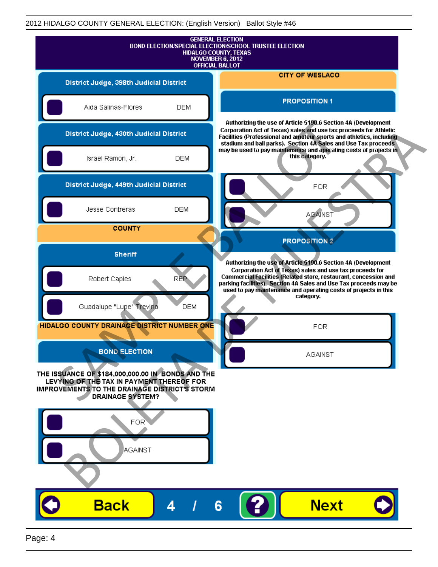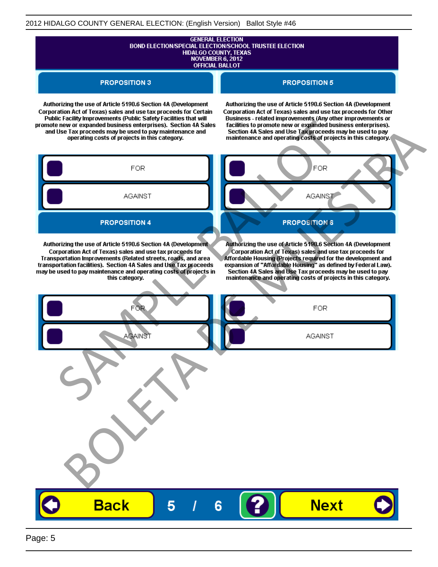# **GENERAL ELECTION** BOND ELECTION/SPECIAL ELECTION/SCHOOL TRUSTEE ELECTION<br>HIDALGO COUNTY, TEXAS<br>NOVEMBER 6, 2012 **OFFICIAL BALLOT**

**PROPOSITION 3** 

#### **PROPOSITION 5**

Authorizing the use of Article 5190.6 Section 4A (Development Corporation Act of Texas) sales and use tax proceeds for Certain

Authorizing the use of Article 5190.6 Section 4A (Development Corporation Act of Texas) sales and use tax proceeds for Other

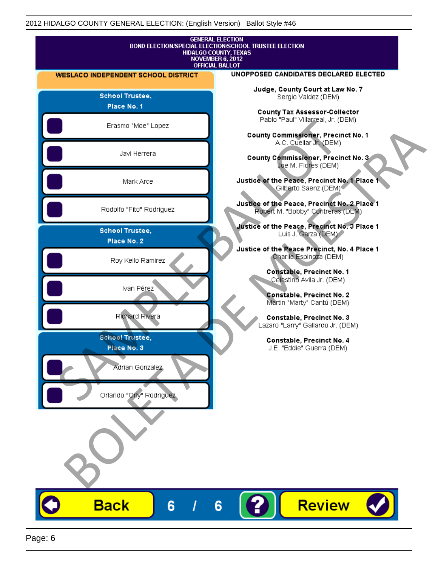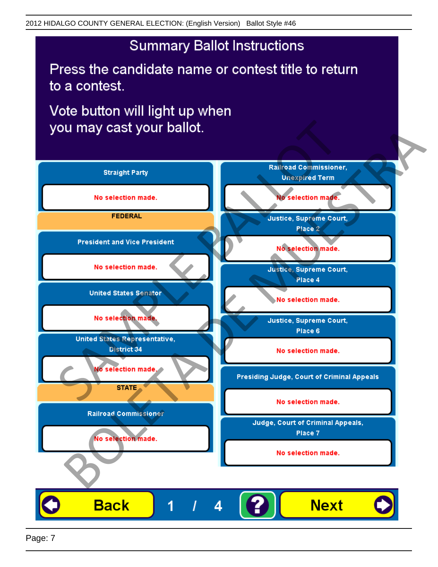Press the candidate name or contest title to return to a contest.

Vote button will light up when



Page: 7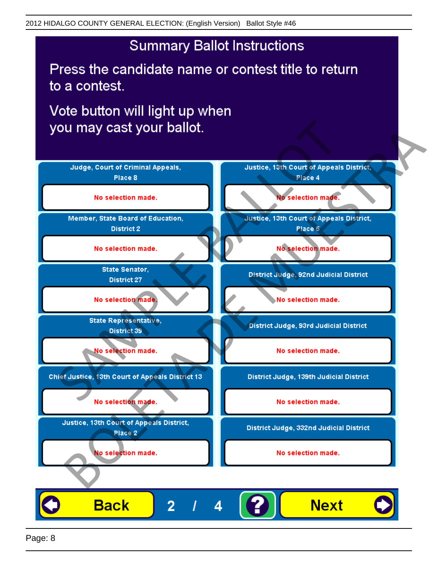Press the candidate name or contest title to return to a contest.

Vote button will light up when

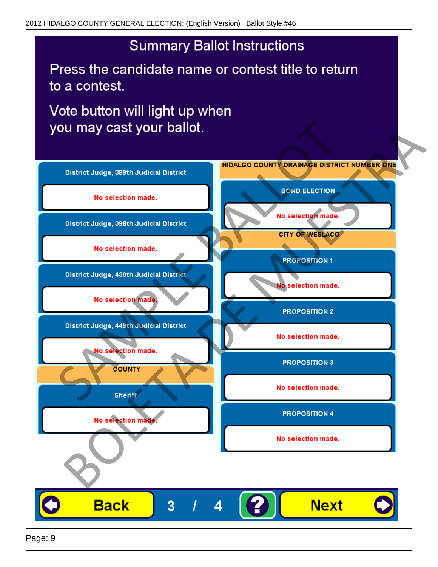Press the candidate name or contest title to return to a contest.